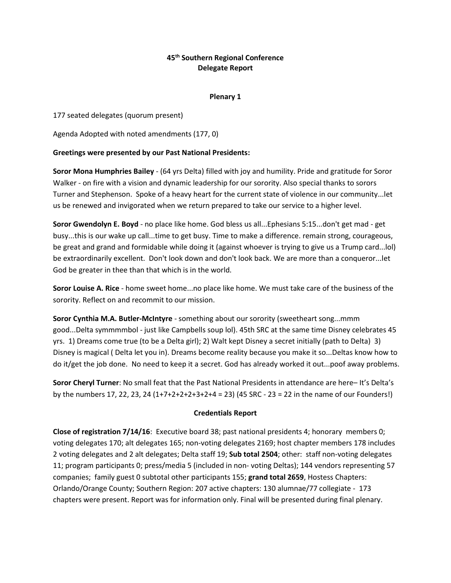## **45th Southern Regional Conference Delegate Report**

### **Plenary 1**

177 seated delegates (quorum present)

Agenda Adopted with noted amendments (177, 0)

### **Greetings were presented by our Past National Presidents:**

**Soror Mona Humphries Bailey** - (64 yrs Delta) filled with joy and humility. Pride and gratitude for Soror Walker - on fire with a vision and dynamic leadership for our sorority. Also special thanks to sorors Turner and Stephenson. Spoke of a heavy heart for the current state of violence in our community...let us be renewed and invigorated when we return prepared to take our service to a higher level.

**Soror Gwendolyn E. Boyd** - no place like home. God bless us all...Ephesians 5:15...don't get mad - get busy...this is our wake up call...time to get busy. Time to make a difference. remain strong, courageous, be great and grand and formidable while doing it (against whoever is trying to give us a Trump card...lol) be extraordinarily excellent. Don't look down and don't look back. We are more than a conqueror...let God be greater in thee than that which is in the world.

**Soror Louise A. Rice** - home sweet home...no place like home. We must take care of the business of the sorority. Reflect on and recommit to our mission.

**Soror Cynthia M.A. Butler-McIntyre** - something about our sorority (sweetheart song...mmm good...Delta symmmmbol - just like Campbells soup lol). 45th SRC at the same time Disney celebrates 45 yrs. 1) Dreams come true (to be a Delta girl); 2) Walt kept Disney a secret initially (path to Delta) 3) Disney is magical ( Delta let you in). Dreams become reality because you make it so...Deltas know how to do it/get the job done. No need to keep it a secret. God has already worked it out...poof away problems.

**Soror Cheryl Turner**: No small feat that the Past National Presidents in attendance are here– It's Delta's by the numbers 17, 22, 23, 24 (1+7+2+2+2+3+2+4 = 23) (45 SRC - 23 = 22 in the name of our Founders!)

### **Credentials Report**

**Close of registration 7/14/16**: Executive board 38; past national presidents 4; honorary members 0; voting delegates 170; alt delegates 165; non-voting delegates 2169; host chapter members 178 includes 2 voting delegates and 2 alt delegates; Delta staff 19; **Sub total 2504**; other: staff non-voting delegates 11; program participants 0; press/media 5 (included in non- voting Deltas); 144 vendors representing 57 companies; family guest 0 subtotal other participants 155; **grand total 2659**, Hostess Chapters: Orlando/Orange County; Southern Region: 207 active chapters: 130 alumnae/77 collegiate - 173 chapters were present. Report was for information only. Final will be presented during final plenary.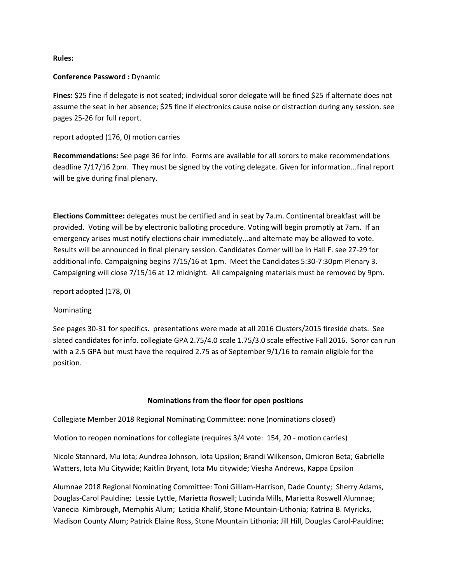**Rules:**

#### **Conference Password :** Dynamic

**Fines:** \$25 fine if delegate is not seated; individual soror delegate will be fined \$25 if alternate does not assume the seat in her absence; \$25 fine if electronics cause noise or distraction during any session. see pages 25-26 for full report.

report adopted (176, 0) motion carries

**Recommendations:** See page 36 for info. Forms are available for all sorors to make recommendations deadline 7/17/16 2pm. They must be signed by the voting delegate. Given for information...final report will be give during final plenary.

**Elections Committee:** delegates must be certified and in seat by 7a.m. Continental breakfast will be provided. Voting will be by electronic balloting procedure. Voting will begin promptly at 7am. If an emergency arises must notify elections chair immediately...and alternate may be allowed to vote. Results will be announced in final plenary session. Candidates Corner will be in Hall F. see 27-29 for additional info. Campaigning begins 7/15/16 at 1pm. Meet the Candidates 5:30-7:30pm Plenary 3. Campaigning will close 7/15/16 at 12 midnight. All campaigning materials must be removed by 9pm.

report adopted (178, 0)

#### Nominating

See pages 30-31 for specifics. presentations were made at all 2016 Clusters/2015 fireside chats. See slated candidates for info. collegiate GPA 2.75/4.0 scale 1.75/3.0 scale effective Fall 2016. Soror can run with a 2.5 GPA but must have the required 2.75 as of September 9/1/16 to remain eligible for the position.

#### **Nominations from the floor for open positions**

Collegiate Member 2018 Regional Nominating Committee: none (nominations closed)

Motion to reopen nominations for collegiate (requires 3/4 vote: 154, 20 - motion carries)

Nicole Stannard, Mu Iota; Aundrea Johnson, Iota Upsilon; Brandi Wilkenson, Omicron Beta; Gabrielle Watters, Iota Mu Citywide; Kaitlin Bryant, Iota Mu citywide; Viesha Andrews, Kappa Epsilon

Alumnae 2018 Regional Nominating Committee: Toni Gilliam-Harrison, Dade County; Sherry Adams, Douglas-Carol Pauldine; Lessie Lyttle, Marietta Roswell; Lucinda Mills, Marietta Roswell Alumnae; Vanecia Kimbrough, Memphis Alum; Laticia Khalif, Stone Mountain-Lithonia; Katrina B. Myricks, Madison County Alum; Patrick Elaine Ross, Stone Mountain Lithonia; Jill Hill, Douglas Carol-Pauldine;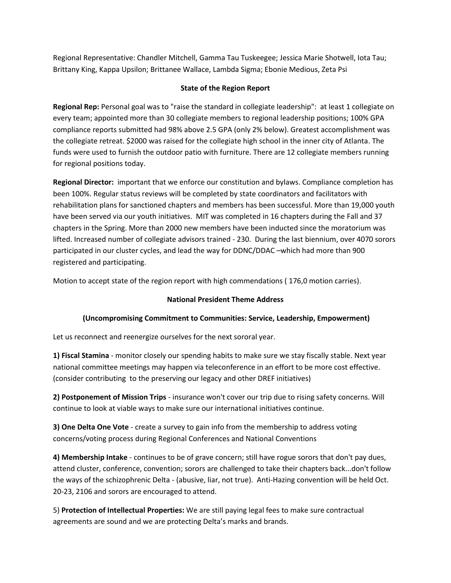Regional Representative: Chandler Mitchell, Gamma Tau Tuskeegee; Jessica Marie Shotwell, Iota Tau; Brittany King, Kappa Upsilon; Brittanee Wallace, Lambda Sigma; Ebonie Medious, Zeta Psi

## **State of the Region Report**

**Regional Rep:** Personal goal was to "raise the standard in collegiate leadership": at least 1 collegiate on every team; appointed more than 30 collegiate members to regional leadership positions; 100% GPA compliance reports submitted had 98% above 2.5 GPA (only 2% below). Greatest accomplishment was the collegiate retreat. \$2000 was raised for the collegiate high school in the inner city of Atlanta. The funds were used to furnish the outdoor patio with furniture. There are 12 collegiate members running for regional positions today.

**Regional Director:** important that we enforce our constitution and bylaws. Compliance completion has been 100%. Regular status reviews will be completed by state coordinators and facilitators with rehabilitation plans for sanctioned chapters and members has been successful. More than 19,000 youth have been served via our youth initiatives. MIT was completed in 16 chapters during the Fall and 37 chapters in the Spring. More than 2000 new members have been inducted since the moratorium was lifted. Increased number of collegiate advisors trained - 230. During the last biennium, over 4070 sorors participated in our cluster cycles, and lead the way for DDNC/DDAC –which had more than 900 registered and participating.

Motion to accept state of the region report with high commendations ( 176,0 motion carries).

## **National President Theme Address**

## **(Uncompromising Commitment to Communities: Service, Leadership, Empowerment)**

Let us reconnect and reenergize ourselves for the next sororal year.

**1) Fiscal Stamina** - monitor closely our spending habits to make sure we stay fiscally stable. Next year national committee meetings may happen via teleconference in an effort to be more cost effective. (consider contributing to the preserving our legacy and other DREF initiatives)

**2) Postponement of Mission Trips** - insurance won't cover our trip due to rising safety concerns. Will continue to look at viable ways to make sure our international initiatives continue.

**3) One Delta One Vote** - create a survey to gain info from the membership to address voting concerns/voting process during Regional Conferences and National Conventions

**4) Membership Intake** - continues to be of grave concern; still have rogue sorors that don't pay dues, attend cluster, conference, convention; sorors are challenged to take their chapters back...don't follow the ways of the schizophrenic Delta - (abusive, liar, not true). Anti-Hazing convention will be held Oct. 20-23, 2106 and sorors are encouraged to attend.

5) **Protection of Intellectual Properties:** We are still paying legal fees to make sure contractual agreements are sound and we are protecting Delta's marks and brands.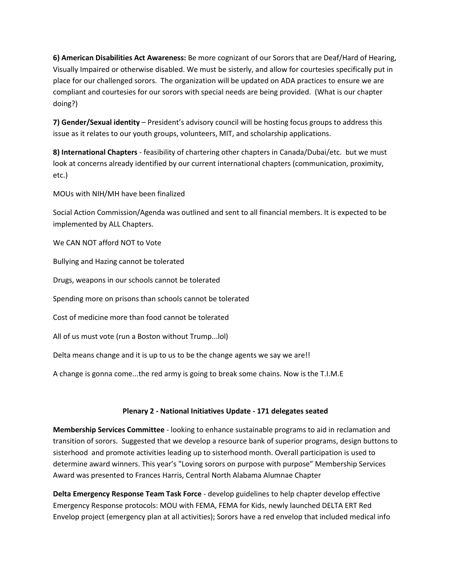**6) American Disabilities Act Awareness:** Be more cognizant of our Sorors that are Deaf/Hard of Hearing, Visually Impaired or otherwise disabled. We must be sisterly, and allow for courtesies specifically put in place for our challenged sorors. The organization will be updated on ADA practices to ensure we are compliant and courtesies for our sorors with special needs are being provided. (What is our chapter doing?)

**7) Gender/Sexual identity** – President's advisory council will be hosting focus groups to address this issue as it relates to our youth groups, volunteers, MIT, and scholarship applications.

**8) International Chapters** - feasibility of chartering other chapters in Canada/Dubai/etc. but we must look at concerns already identified by our current international chapters (communication, proximity, etc.)

MOUs with NIH/MH have been finalized

Social Action Commission/Agenda was outlined and sent to all financial members. It is expected to be implemented by ALL Chapters.

We CAN NOT afford NOT to Vote

Bullying and Hazing cannot be tolerated

Drugs, weapons in our schools cannot be tolerated

Spending more on prisons than schools cannot be tolerated

Cost of medicine more than food cannot be tolerated

All of us must vote (run a Boston without Trump...lol)

Delta means change and it is up to us to be the change agents we say we are!!

A change is gonna come...the red army is going to break some chains. Now is the T.I.M.E

## **Plenary 2 - National Initiatives Update - 171 delegates seated**

**Membership Services Committee** - looking to enhance sustainable programs to aid in reclamation and transition of sorors. Suggested that we develop a resource bank of superior programs, design buttons to sisterhood and promote activities leading up to sisterhood month. Overall participation is used to determine award winners. This year's "Loving sorors on purpose with purpose" Membership Services Award was presented to Frances Harris, Central North Alabama Alumnae Chapter

**Delta Emergency Response Team Task Force** - develop guidelines to help chapter develop effective Emergency Response protocols: MOU with FEMA, FEMA for Kids, newly launched DELTA ERT Red Envelop project (emergency plan at all activities); Sorors have a red envelop that included medical info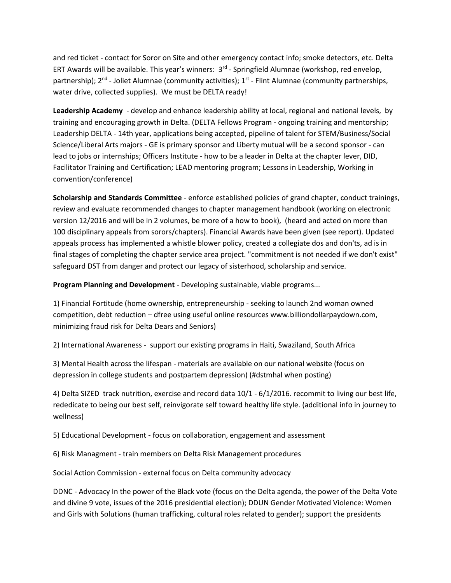and red ticket - contact for Soror on Site and other emergency contact info; smoke detectors, etc. Delta ERT Awards will be available. This year's winners: 3<sup>rd</sup> - Springfield Alumnae (workshop, red envelop, partnership); 2<sup>nd</sup> - Joliet Alumnae (community activities); 1<sup>st</sup> - Flint Alumnae (community partnerships, water drive, collected supplies). We must be DELTA ready!

**Leadership Academy** - develop and enhance leadership ability at local, regional and national levels, by training and encouraging growth in Delta. (DELTA Fellows Program - ongoing training and mentorship; Leadership DELTA - 14th year, applications being accepted, pipeline of talent for STEM/Business/Social Science/Liberal Arts majors - GE is primary sponsor and Liberty mutual will be a second sponsor - can lead to jobs or internships; Officers Institute - how to be a leader in Delta at the chapter lever, DID, Facilitator Training and Certification; LEAD mentoring program; Lessons in Leadership, Working in convention/conference)

**Scholarship and Standards Committee** - enforce established policies of grand chapter, conduct trainings, review and evaluate recommended changes to chapter management handbook (working on electronic version 12/2016 and will be in 2 volumes, be more of a how to book), (heard and acted on more than 100 disciplinary appeals from sorors/chapters). Financial Awards have been given (see report). Updated appeals process has implemented a whistle blower policy, created a collegiate dos and don'ts, ad is in final stages of completing the chapter service area project. "commitment is not needed if we don't exist" safeguard DST from danger and protect our legacy of sisterhood, scholarship and service.

**Program Planning and Development** - Developing sustainable, viable programs...

1) Financial Fortitude (home ownership, entrepreneurship - seeking to launch 2nd woman owned competition, debt reduction – dfree using useful online resources www.billiondollarpaydown.com, minimizing fraud risk for Delta Dears and Seniors)

2) International Awareness - support our existing programs in Haiti, Swaziland, South Africa

3) Mental Health across the lifespan - materials are available on our national website (focus on depression in college students and postpartem depression) (#dstmhal when posting)

4) Delta SIZED track nutrition, exercise and record data 10/1 - 6/1/2016. recommit to living our best life, rededicate to being our best self, reinvigorate self toward healthy life style. (additional info in journey to wellness)

5) Educational Development - focus on collaboration, engagement and assessment

6) Risk Managment - train members on Delta Risk Management procedures

Social Action Commission - external focus on Delta community advocacy

DDNC - Advocacy In the power of the Black vote (focus on the Delta agenda, the power of the Delta Vote and divine 9 vote, issues of the 2016 presidential election); DDUN Gender Motivated Violence: Women and Girls with Solutions (human trafficking, cultural roles related to gender); support the presidents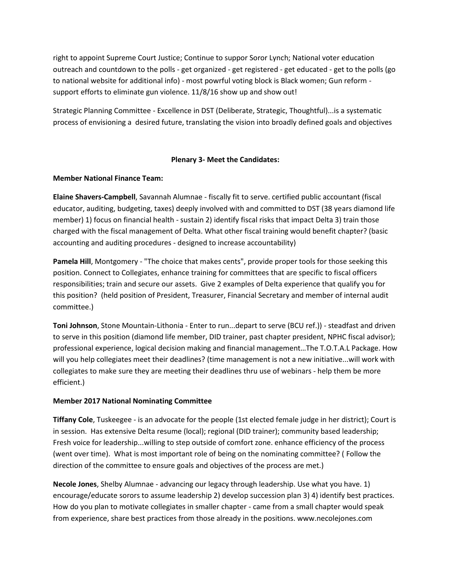right to appoint Supreme Court Justice; Continue to suppor Soror Lynch; National voter education outreach and countdown to the polls - get organized - get registered - get educated - get to the polls (go to national website for additional info) - most powrful voting block is Black women; Gun reform support efforts to eliminate gun violence. 11/8/16 show up and show out!

Strategic Planning Committee - Excellence in DST (Deliberate, Strategic, Thoughtful)...is a systematic process of envisioning a desired future, translating the vision into broadly defined goals and objectives

### **Plenary 3- Meet the Candidates:**

### **Member National Finance Team:**

**Elaine Shavers-Campbell**, Savannah Alumnae - fiscally fit to serve. certified public accountant (fiscal educator, auditing, budgeting, taxes) deeply involved with and committed to DST (38 years diamond life member) 1) focus on financial health - sustain 2) identify fiscal risks that impact Delta 3) train those charged with the fiscal management of Delta. What other fiscal training would benefit chapter? (basic accounting and auditing procedures - designed to increase accountability)

**Pamela Hill**, Montgomery - "The choice that makes cents", provide proper tools for those seeking this position. Connect to Collegiates, enhance training for committees that are specific to fiscal officers responsibilities; train and secure our assets. Give 2 examples of Delta experience that qualify you for this position? (held position of President, Treasurer, Financial Secretary and member of internal audit committee.)

**Toni Johnson**, Stone Mountain-Lithonia - Enter to run...depart to serve (BCU ref.)) - steadfast and driven to serve in this position (diamond life member, DID trainer, past chapter president, NPHC fiscal advisor); professional experience, logical decision making and financial management…The T.O.T.A.L Package. How will you help collegiates meet their deadlines? (time management is not a new initiative...will work with collegiates to make sure they are meeting their deadlines thru use of webinars - help them be more efficient.)

## **Member 2017 National Nominating Committee**

**Tiffany Cole**, Tuskeegee - is an advocate for the people (1st elected female judge in her district); Court is in session. Has extensive Delta resume (local); regional (DID trainer); community based leadership; Fresh voice for leadership...willing to step outside of comfort zone. enhance efficiency of the process (went over time). What is most important role of being on the nominating committee? ( Follow the direction of the committee to ensure goals and objectives of the process are met.)

**Necole Jones**, Shelby Alumnae - advancing our legacy through leadership. Use what you have. 1) encourage/educate sorors to assume leadership 2) develop succession plan 3) 4) identify best practices. How do you plan to motivate collegiates in smaller chapter - came from a small chapter would speak from experience, share best practices from those already in the positions. www.necolejones.com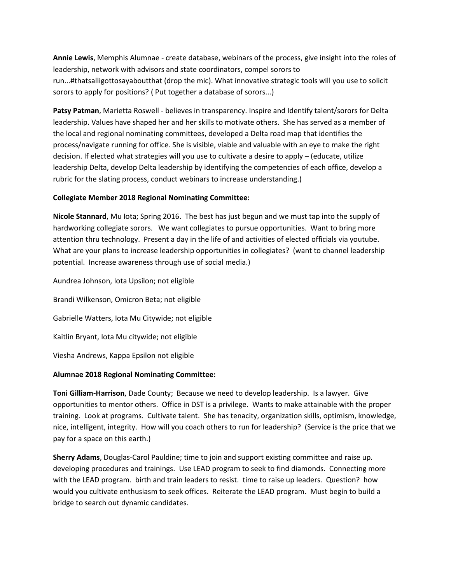**Annie Lewis**, Memphis Alumnae - create database, webinars of the process, give insight into the roles of leadership, network with advisors and state coordinators, compel sorors to run...#thatsalligottosayaboutthat (drop the mic). What innovative strategic tools will you use to solicit sorors to apply for positions? ( Put together a database of sorors...)

**Patsy Patman**, Marietta Roswell - believes in transparency. Inspire and Identify talent/sorors for Delta leadership. Values have shaped her and her skills to motivate others. She has served as a member of the local and regional nominating committees, developed a Delta road map that identifies the process/navigate running for office. She is visible, viable and valuable with an eye to make the right decision. If elected what strategies will you use to cultivate a desire to apply – (educate, utilize leadership Delta, develop Delta leadership by identifying the competencies of each office, develop a rubric for the slating process, conduct webinars to increase understanding.)

### **Collegiate Member 2018 Regional Nominating Committee:**

**Nicole Stannard**, Mu Iota; Spring 2016. The best has just begun and we must tap into the supply of hardworking collegiate sorors. We want collegiates to pursue opportunities. Want to bring more attention thru technology. Present a day in the life of and activities of elected officials via youtube. What are your plans to increase leadership opportunities in collegiates? (want to channel leadership potential. Increase awareness through use of social media.)

Aundrea Johnson, Iota Upsilon; not eligible Brandi Wilkenson, Omicron Beta; not eligible Gabrielle Watters, Iota Mu Citywide; not eligible Kaitlin Bryant, Iota Mu citywide; not eligible Viesha Andrews, Kappa Epsilon not eligible

## **Alumnae 2018 Regional Nominating Committee:**

**Toni Gilliam-Harrison**, Dade County; Because we need to develop leadership. Is a lawyer. Give opportunities to mentor others. Office in DST is a privilege. Wants to make attainable with the proper training. Look at programs. Cultivate talent. She has tenacity, organization skills, optimism, knowledge, nice, intelligent, integrity. How will you coach others to run for leadership? (Service is the price that we pay for a space on this earth.)

**Sherry Adams**, Douglas-Carol Pauldine; time to join and support existing committee and raise up. developing procedures and trainings. Use LEAD program to seek to find diamonds. Connecting more with the LEAD program. birth and train leaders to resist. time to raise up leaders. Question? how would you cultivate enthusiasm to seek offices. Reiterate the LEAD program. Must begin to build a bridge to search out dynamic candidates.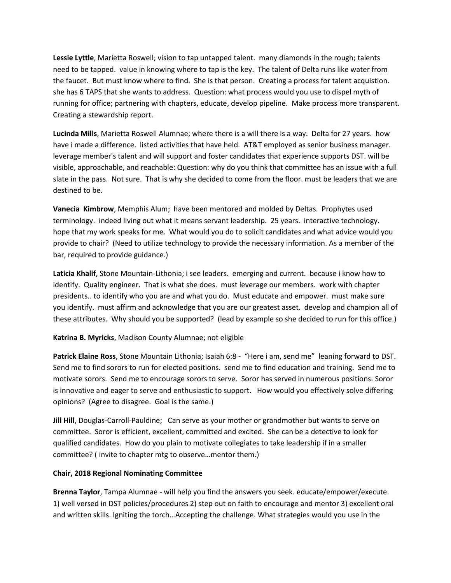**Lessie Lyttle**, Marietta Roswell; vision to tap untapped talent. many diamonds in the rough; talents need to be tapped. value in knowing where to tap is the key. The talent of Delta runs like water from the faucet. But must know where to find. She is that person. Creating a process for talent acquistion. she has 6 TAPS that she wants to address. Question: what process would you use to dispel myth of running for office; partnering with chapters, educate, develop pipeline. Make process more transparent. Creating a stewardship report.

**Lucinda Mills**, Marietta Roswell Alumnae; where there is a will there is a way. Delta for 27 years. how have i made a difference. listed activities that have held. AT&T employed as senior business manager. leverage member's talent and will support and foster candidates that experience supports DST. will be visible, approachable, and reachable: Question: why do you think that committee has an issue with a full slate in the pass. Not sure. That is why she decided to come from the floor. must be leaders that we are destined to be.

**Vanecia Kimbrow**, Memphis Alum; have been mentored and molded by Deltas. Prophytes used terminology. indeed living out what it means servant leadership. 25 years. interactive technology. hope that my work speaks for me. What would you do to solicit candidates and what advice would you provide to chair? (Need to utilize technology to provide the necessary information. As a member of the bar, required to provide guidance.)

**Laticia Khalif**, Stone Mountain-Lithonia; i see leaders. emerging and current. because i know how to identify. Quality engineer. That is what she does. must leverage our members. work with chapter presidents.. to identify who you are and what you do. Must educate and empower. must make sure you identify. must affirm and acknowledge that you are our greatest asset. develop and champion all of these attributes. Why should you be supported? (lead by example so she decided to run for this office.)

**Katrina B. Myricks**, Madison County Alumnae; not eligible

**Patrick Elaine Ross**, Stone Mountain Lithonia; Isaiah 6:8 - "Here i am, send me" leaning forward to DST. Send me to find sorors to run for elected positions. send me to find education and training. Send me to motivate sorors. Send me to encourage sorors to serve. Soror has served in numerous positions. Soror is innovative and eager to serve and enthusiastic to support. How would you effectively solve differing opinions? (Agree to disagree. Goal is the same.)

**Jill Hill**, Douglas-Carroll-Pauldine; Can serve as your mother or grandmother but wants to serve on committee. Soror is efficient, excellent, committed and excited. She can be a detective to look for qualified candidates. How do you plain to motivate collegiates to take leadership if in a smaller committee? ( invite to chapter mtg to observe…mentor them.)

## **Chair, 2018 Regional Nominating Committee**

**Brenna Taylor**, Tampa Alumnae - will help you find the answers you seek. educate/empower/execute. 1) well versed in DST policies/procedures 2) step out on faith to encourage and mentor 3) excellent oral and written skills. Igniting the torch…Accepting the challenge. What strategies would you use in the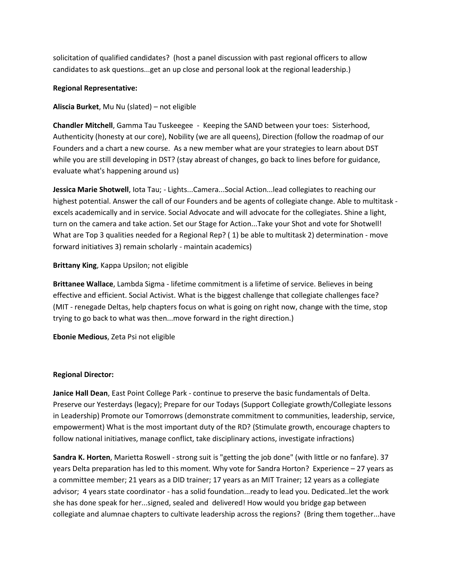solicitation of qualified candidates? (host a panel discussion with past regional officers to allow candidates to ask questions...get an up close and personal look at the regional leadership.)

### **Regional Representative:**

### **Aliscia Burket**, Mu Nu (slated) – not eligible

**Chandler Mitchell**, Gamma Tau Tuskeegee - Keeping the SAND between your toes: Sisterhood, Authenticity (honesty at our core), Nobility (we are all queens), Direction (follow the roadmap of our Founders and a chart a new course. As a new member what are your strategies to learn about DST while you are still developing in DST? (stay abreast of changes, go back to lines before for guidance, evaluate what's happening around us)

**Jessica Marie Shotwell**, Iota Tau; - Lights...Camera...Social Action...lead collegiates to reaching our highest potential. Answer the call of our Founders and be agents of collegiate change. Able to multitask excels academically and in service. Social Advocate and will advocate for the collegiates. Shine a light, turn on the camera and take action. Set our Stage for Action...Take your Shot and vote for Shotwell! What are Top 3 qualities needed for a Regional Rep? ( 1) be able to multitask 2) determination - move forward initiatives 3) remain scholarly - maintain academics)

### **Brittany King**, Kappa Upsilon; not eligible

**Brittanee Wallace**, Lambda Sigma - lifetime commitment is a lifetime of service. Believes in being effective and efficient. Social Activist. What is the biggest challenge that collegiate challenges face? (MIT - renegade Deltas, help chapters focus on what is going on right now, change with the time, stop trying to go back to what was then...move forward in the right direction.)

**Ebonie Medious**, Zeta Psi not eligible

## **Regional Director:**

**Janice Hall Dean**, East Point College Park - continue to preserve the basic fundamentals of Delta. Preserve our Yesterdays (legacy); Prepare for our Todays (Support Collegiate growth/Collegiate lessons in Leadership) Promote our Tomorrows (demonstrate commitment to communities, leadership, service, empowerment) What is the most important duty of the RD? (Stimulate growth, encourage chapters to follow national initiatives, manage conflict, take disciplinary actions, investigate infractions)

**Sandra K. Horten**, Marietta Roswell - strong suit is "getting the job done" (with little or no fanfare). 37 years Delta preparation has led to this moment. Why vote for Sandra Horton? Experience – 27 years as a committee member; 21 years as a DID trainer; 17 years as an MIT Trainer; 12 years as a collegiate advisor; 4 years state coordinator - has a solid foundation...ready to lead you. Dedicated..let the work she has done speak for her...signed, sealed and delivered! How would you bridge gap between collegiate and alumnae chapters to cultivate leadership across the regions? (Bring them together...have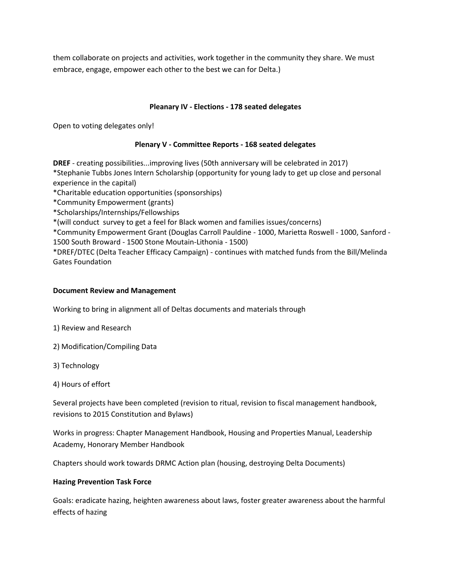them collaborate on projects and activities, work together in the community they share. We must embrace, engage, empower each other to the best we can for Delta.)

### **Pleanary IV - Elections - 178 seated delegates**

Open to voting delegates only!

### **Plenary V - Committee Reports - 168 seated delegates**

**DREF** - creating possibilities...improving lives (50th anniversary will be celebrated in 2017)

\*Stephanie Tubbs Jones Intern Scholarship (opportunity for young lady to get up close and personal experience in the capital)

\*Charitable education opportunities (sponsorships)

\*Community Empowerment (grants)

\*Scholarships/Internships/Fellowships

\*(will conduct survey to get a feel for Black women and families issues/concerns)

\*Community Empowerment Grant (Douglas Carroll Pauldine - 1000, Marietta Roswell - 1000, Sanford - 1500 South Broward - 1500 Stone Moutain-Lithonia - 1500)

\*DREF/DTEC (Delta Teacher Efficacy Campaign) - continues with matched funds from the Bill/Melinda Gates Foundation

### **Document Review and Management**

Working to bring in alignment all of Deltas documents and materials through

1) Review and Research

2) Modification/Compiling Data

3) Technology

4) Hours of effort

Several projects have been completed (revision to ritual, revision to fiscal management handbook, revisions to 2015 Constitution and Bylaws)

Works in progress: Chapter Management Handbook, Housing and Properties Manual, Leadership Academy, Honorary Member Handbook

Chapters should work towards DRMC Action plan (housing, destroying Delta Documents)

### **Hazing Prevention Task Force**

Goals: eradicate hazing, heighten awareness about laws, foster greater awareness about the harmful effects of hazing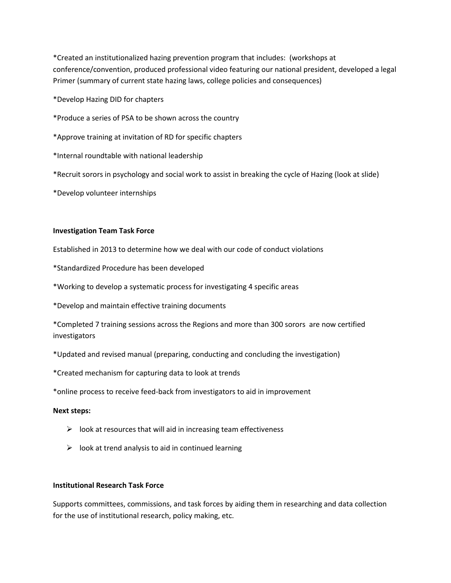\*Created an institutionalized hazing prevention program that includes: (workshops at conference/convention, produced professional video featuring our national president, developed a legal Primer (summary of current state hazing laws, college policies and consequences)

\*Develop Hazing DID for chapters

\*Produce a series of PSA to be shown across the country

\*Approve training at invitation of RD for specific chapters

\*Internal roundtable with national leadership

\*Recruit sorors in psychology and social work to assist in breaking the cycle of Hazing (look at slide)

\*Develop volunteer internships

#### **Investigation Team Task Force**

Established in 2013 to determine how we deal with our code of conduct violations

\*Standardized Procedure has been developed

\*Working to develop a systematic process for investigating 4 specific areas

\*Develop and maintain effective training documents

\*Completed 7 training sessions across the Regions and more than 300 sorors are now certified investigators

\*Updated and revised manual (preparing, conducting and concluding the investigation)

\*Created mechanism for capturing data to look at trends

\*online process to receive feed-back from investigators to aid in improvement

#### **Next steps:**

- $\triangleright$  look at resources that will aid in increasing team effectiveness
- $\triangleright$  look at trend analysis to aid in continued learning

### **Institutional Research Task Force**

Supports committees, commissions, and task forces by aiding them in researching and data collection for the use of institutional research, policy making, etc.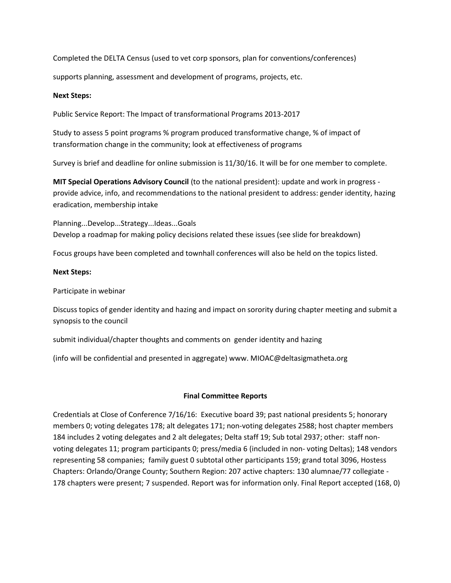Completed the DELTA Census (used to vet corp sponsors, plan for conventions/conferences)

supports planning, assessment and development of programs, projects, etc.

### **Next Steps:**

Public Service Report: The Impact of transformational Programs 2013-2017

Study to assess 5 point programs % program produced transformative change, % of impact of transformation change in the community; look at effectiveness of programs

Survey is brief and deadline for online submission is 11/30/16. It will be for one member to complete.

**MIT Special Operations Advisory Council** (to the national president): update and work in progress provide advice, info, and recommendations to the national president to address: gender identity, hazing eradication, membership intake

Planning...Develop...Strategy...Ideas...Goals Develop a roadmap for making policy decisions related these issues (see slide for breakdown)

Focus groups have been completed and townhall conferences will also be held on the topics listed.

#### **Next Steps:**

Participate in webinar

Discuss topics of gender identity and hazing and impact on sorority during chapter meeting and submit a synopsis to the council

submit individual/chapter thoughts and comments on gender identity and hazing

(info will be confidential and presented in aggregate) www. MIOAC@deltasigmatheta.org

### **Final Committee Reports**

Credentials at Close of Conference 7/16/16: Executive board 39; past national presidents 5; honorary members 0; voting delegates 178; alt delegates 171; non-voting delegates 2588; host chapter members 184 includes 2 voting delegates and 2 alt delegates; Delta staff 19; Sub total 2937; other: staff nonvoting delegates 11; program participants 0; press/media 6 (included in non- voting Deltas); 148 vendors representing 58 companies; family guest 0 subtotal other participants 159; grand total 3096, Hostess Chapters: Orlando/Orange County; Southern Region: 207 active chapters: 130 alumnae/77 collegiate - 178 chapters were present; 7 suspended. Report was for information only. Final Report accepted (168, 0)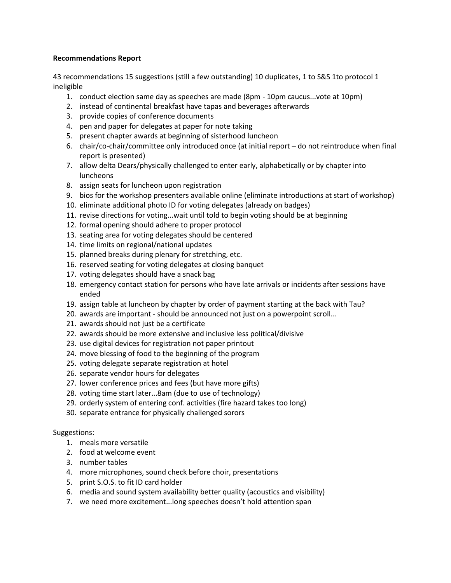### **Recommendations Report**

43 recommendations 15 suggestions (still a few outstanding) 10 duplicates, 1 to S&S 1to protocol 1 ineligible

- 1. conduct election same day as speeches are made (8pm 10pm caucus...vote at 10pm)
- 2. instead of continental breakfast have tapas and beverages afterwards
- 3. provide copies of conference documents
- 4. pen and paper for delegates at paper for note taking
- 5. present chapter awards at beginning of sisterhood luncheon
- 6. chair/co-chair/committee only introduced once (at initial report do not reintroduce when final report is presented)
- 7. allow delta Dears/physically challenged to enter early, alphabetically or by chapter into luncheons
- 8. assign seats for luncheon upon registration
- 9. bios for the workshop presenters available online (eliminate introductions at start of workshop)
- 10. eliminate additional photo ID for voting delegates (already on badges)
- 11. revise directions for voting...wait until told to begin voting should be at beginning
- 12. formal opening should adhere to proper protocol
- 13. seating area for voting delegates should be centered
- 14. time limits on regional/national updates
- 15. planned breaks during plenary for stretching, etc.
- 16. reserved seating for voting delegates at closing banquet
- 17. voting delegates should have a snack bag
- 18. emergency contact station for persons who have late arrivals or incidents after sessions have ended
- 19. assign table at luncheon by chapter by order of payment starting at the back with Tau?
- 20. awards are important should be announced not just on a powerpoint scroll...
- 21. awards should not just be a certificate
- 22. awards should be more extensive and inclusive less political/divisive
- 23. use digital devices for registration not paper printout
- 24. move blessing of food to the beginning of the program
- 25. voting delegate separate registration at hotel
- 26. separate vendor hours for delegates
- 27. lower conference prices and fees (but have more gifts)
- 28. voting time start later...8am (due to use of technology)
- 29. orderly system of entering conf. activities (fire hazard takes too long)
- 30. separate entrance for physically challenged sorors

### Suggestions:

- 1. meals more versatile
- 2. food at welcome event
- 3. number tables
- 4. more microphones, sound check before choir, presentations
- 5. print S.O.S. to fit ID card holder
- 6. media and sound system availability better quality (acoustics and visibility)
- 7. we need more excitement...long speeches doesn't hold attention span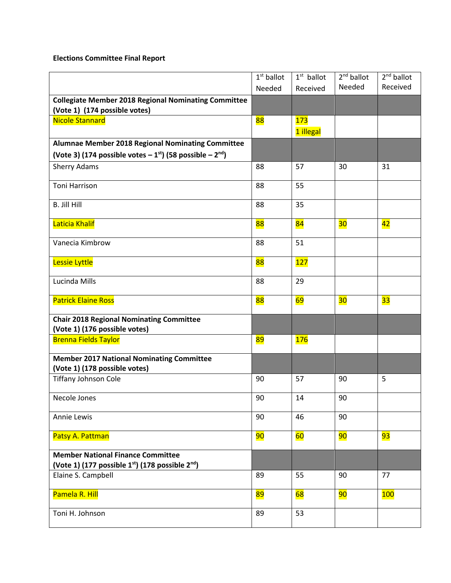# **Elections Committee Final Report**

|                                                                            | $1st$ ballot | $1st$ ballot | $2nd$ ballot | $2nd$ ballot    |
|----------------------------------------------------------------------------|--------------|--------------|--------------|-----------------|
|                                                                            | Needed       | Received     | Needed       | Received        |
| <b>Collegiate Member 2018 Regional Nominating Committee</b>                |              |              |              |                 |
| (Vote 1) (174 possible votes)                                              |              |              |              |                 |
| <b>Nicole Stannard</b>                                                     | 88           | 173          |              |                 |
|                                                                            |              | 1 illegal    |              |                 |
| Alumnae Member 2018 Regional Nominating Committee                          |              |              |              |                 |
| (Vote 3) (174 possible votes $-1$ <sup>st</sup> ) (58 possible $-2^{nd}$ ) |              |              |              |                 |
| <b>Sherry Adams</b>                                                        | 88           | 57           | 30           | 31              |
| Toni Harrison                                                              | 88           | 55           |              |                 |
|                                                                            |              |              |              |                 |
| <b>B. Jill Hill</b>                                                        | 88           | 35           |              |                 |
|                                                                            |              |              |              |                 |
| Laticia Khalif                                                             | 88           | 84           | 30           | $\overline{42}$ |
| Vanecia Kimbrow                                                            | 88           | 51           |              |                 |
|                                                                            |              |              |              |                 |
| Lessie Lyttle                                                              | 88           | 127          |              |                 |
|                                                                            |              |              |              |                 |
| Lucinda Mills                                                              | 88           | 29           |              |                 |
| <b>Patrick Elaine Ross</b>                                                 | 88           | 69           | 30           | 33              |
|                                                                            |              |              |              |                 |
| <b>Chair 2018 Regional Nominating Committee</b>                            |              |              |              |                 |
| (Vote 1) (176 possible votes)                                              |              |              |              |                 |
| <b>Brenna Fields Taylor</b>                                                | 89           | <b>176</b>   |              |                 |
| <b>Member 2017 National Nominating Committee</b>                           |              |              |              |                 |
| (Vote 1) (178 possible votes)                                              |              |              |              |                 |
| <b>Tiffany Johnson Cole</b>                                                | 90           | 57           | 90           | 5               |
|                                                                            |              |              |              |                 |
| Necole Jones                                                               | 90           | 14           | 90           |                 |
| <b>Annie Lewis</b>                                                         | 90           | 46           | 90           |                 |
|                                                                            |              |              |              |                 |
| Patsy A. Pattman                                                           | 90           | 60           | 90           | 93              |
|                                                                            |              |              |              |                 |
| <b>Member National Finance Committee</b>                                   |              |              |              |                 |
| (Vote 1) (177 possible 1 <sup>st</sup> ) (178 possible 2 <sup>nd</sup> )   |              |              | 90           | 77              |
| Elaine S. Campbell                                                         | 89           | 55           |              |                 |
| Pamela R. Hill                                                             | 89           | 68           | 90           | 100             |
|                                                                            |              |              |              |                 |
| Toni H. Johnson                                                            | 89           | 53           |              |                 |
|                                                                            |              |              |              |                 |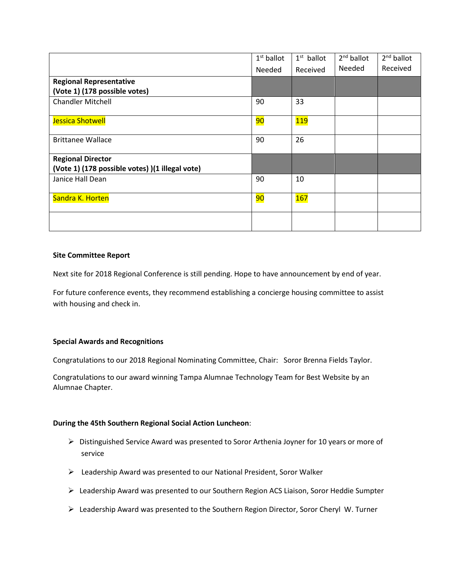|                                                 | $1st$ ballot | $1st$ ballot     | $2nd$ ballot | $2nd$ ballot |
|-------------------------------------------------|--------------|------------------|--------------|--------------|
|                                                 | Needed       | Received         | Needed       | Received     |
| <b>Regional Representative</b>                  |              |                  |              |              |
| (Vote 1) (178 possible votes)                   |              |                  |              |              |
| <b>Chandler Mitchell</b>                        | 90           | 33               |              |              |
|                                                 |              |                  |              |              |
| Jessica Shotwell                                | 90           | <mark>119</mark> |              |              |
| <b>Brittanee Wallace</b>                        | 90           | 26               |              |              |
| <b>Regional Director</b>                        |              |                  |              |              |
| (Vote 1) (178 possible votes) )(1 illegal vote) |              |                  |              |              |
| Janice Hall Dean                                | 90           | 10               |              |              |
| Sandra K. Horten                                | 90           | 167              |              |              |
|                                                 |              |                  |              |              |

### **Site Committee Report**

Next site for 2018 Regional Conference is still pending. Hope to have announcement by end of year.

For future conference events, they recommend establishing a concierge housing committee to assist with housing and check in.

#### **Special Awards and Recognitions**

Congratulations to our 2018 Regional Nominating Committee, Chair: Soror Brenna Fields Taylor.

Congratulations to our award winning Tampa Alumnae Technology Team for Best Website by an Alumnae Chapter.

#### **During the 45th Southern Regional Social Action Luncheon**:

- Distinguished Service Award was presented to Soror Arthenia Joyner for 10 years or more of service
- Leadership Award was presented to our National President, Soror Walker
- Leadership Award was presented to our Southern Region ACS Liaison, Soror Heddie Sumpter
- Leadership Award was presented to the Southern Region Director, Soror Cheryl W. Turner